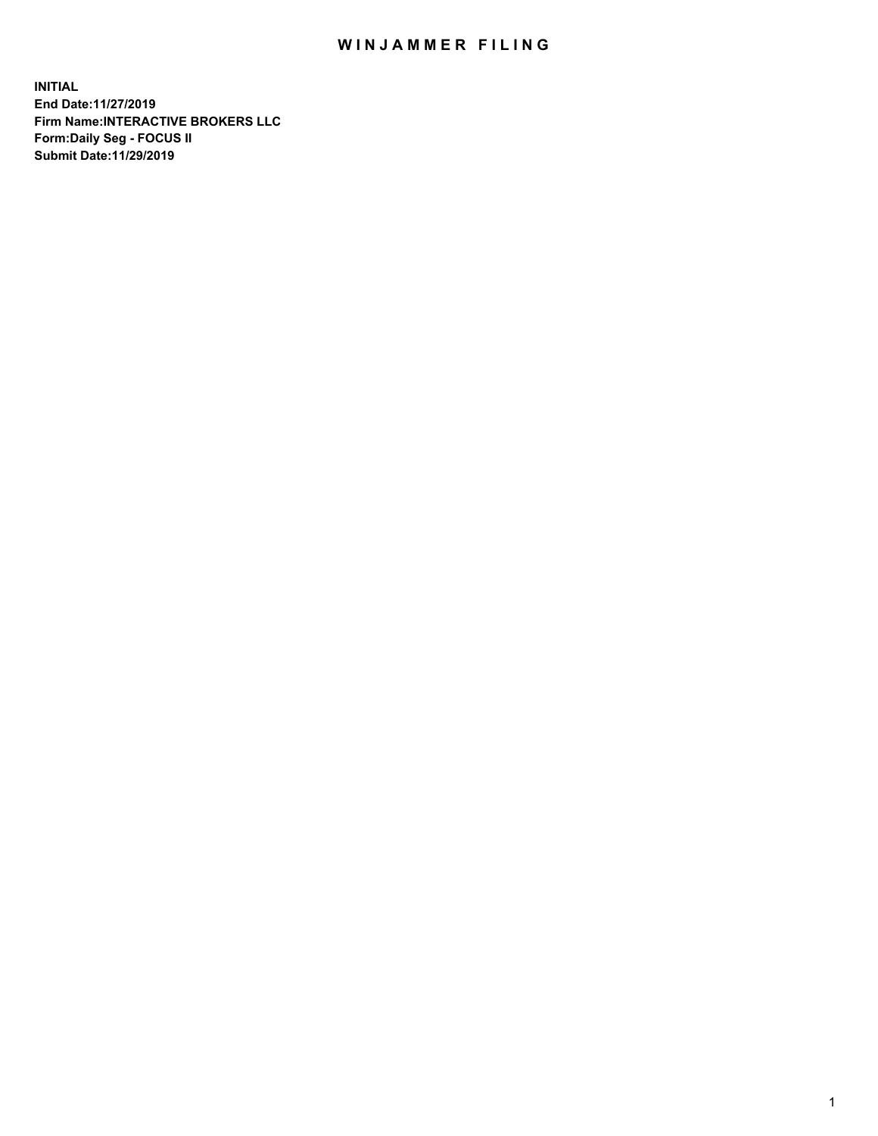## WIN JAMMER FILING

**INITIAL End Date:11/27/2019 Firm Name:INTERACTIVE BROKERS LLC Form:Daily Seg - FOCUS II Submit Date:11/29/2019**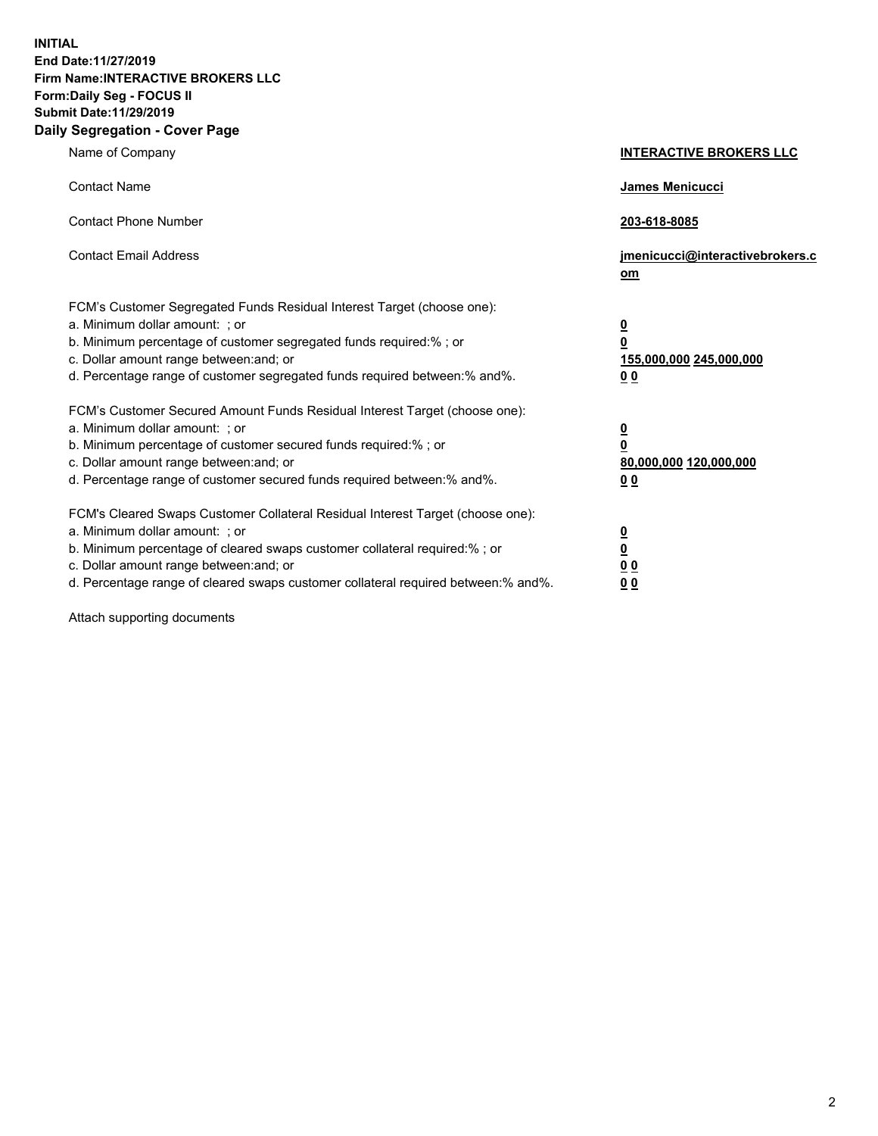**INITIAL End Date:11/27/2019 Firm Name:INTERACTIVE BROKERS LLC Form:Daily Seg - FOCUS II Submit Date:11/29/2019 Daily Segregation - Cover Page**

| Name of Company                                                                                                                                                                                                                                                                                                                | <b>INTERACTIVE BROKERS LLC</b>                                                                  |
|--------------------------------------------------------------------------------------------------------------------------------------------------------------------------------------------------------------------------------------------------------------------------------------------------------------------------------|-------------------------------------------------------------------------------------------------|
| <b>Contact Name</b>                                                                                                                                                                                                                                                                                                            | James Menicucci                                                                                 |
| <b>Contact Phone Number</b>                                                                                                                                                                                                                                                                                                    | 203-618-8085                                                                                    |
| <b>Contact Email Address</b>                                                                                                                                                                                                                                                                                                   | jmenicucci@interactivebrokers.c<br>om                                                           |
| FCM's Customer Segregated Funds Residual Interest Target (choose one):<br>a. Minimum dollar amount: ; or<br>b. Minimum percentage of customer segregated funds required:% ; or<br>c. Dollar amount range between: and; or<br>d. Percentage range of customer segregated funds required between:% and%.                         | $\overline{\mathbf{0}}$<br>$\overline{\mathbf{0}}$<br>155,000,000 245,000,000<br>0 <sub>0</sub> |
| FCM's Customer Secured Amount Funds Residual Interest Target (choose one):<br>a. Minimum dollar amount: ; or<br>b. Minimum percentage of customer secured funds required:%; or<br>c. Dollar amount range between: and; or<br>d. Percentage range of customer secured funds required between:% and%.                            | $\overline{\mathbf{0}}$<br>$\overline{\mathbf{0}}$<br>80,000,000 120,000,000<br>0 <sub>0</sub>  |
| FCM's Cleared Swaps Customer Collateral Residual Interest Target (choose one):<br>a. Minimum dollar amount: ; or<br>b. Minimum percentage of cleared swaps customer collateral required:% ; or<br>c. Dollar amount range between: and; or<br>d. Percentage range of cleared swaps customer collateral required between:% and%. | $\overline{\mathbf{0}}$<br>$\underline{\mathbf{0}}$<br>0 <sub>0</sub><br>0 <sub>0</sub>         |

Attach supporting documents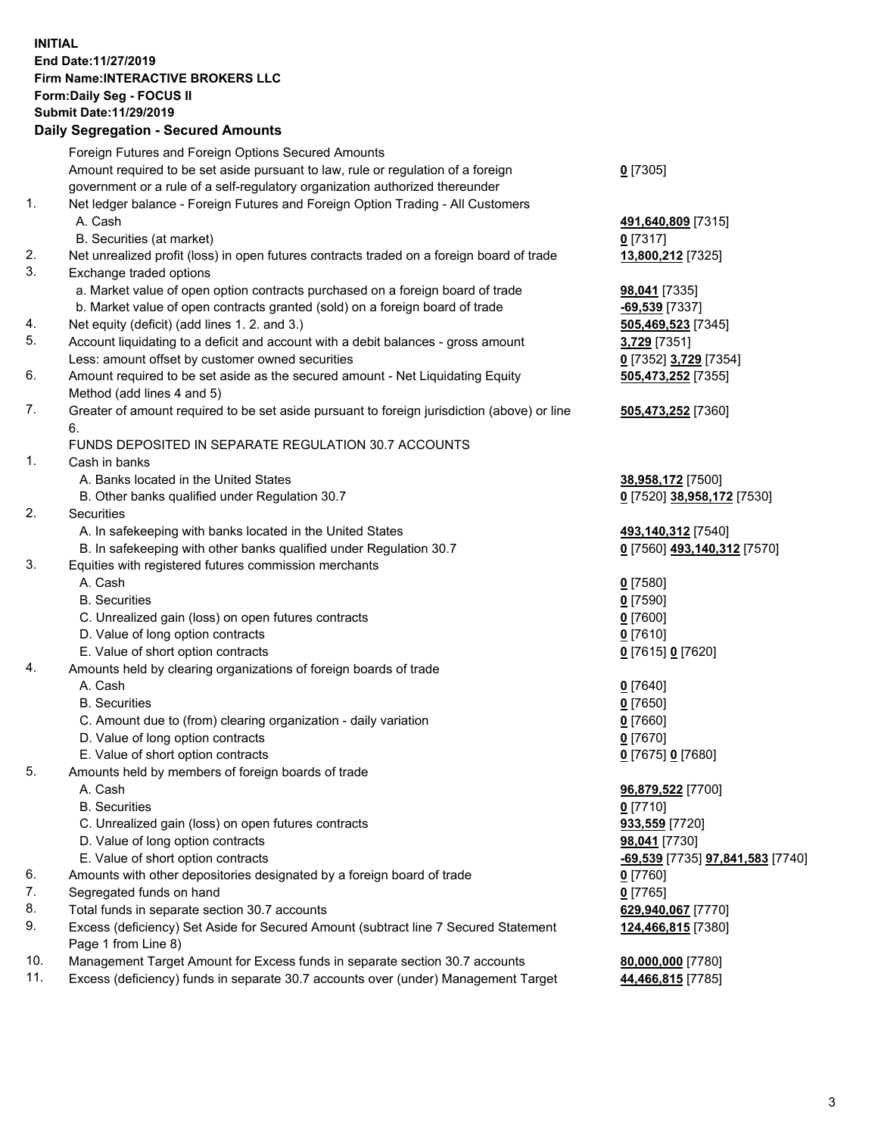## **INITIAL End Date:11/27/2019 Firm Name:INTERACTIVE BROKERS LLC Form:Daily Seg - FOCUS II Submit Date:11/29/2019 Daily Segregation - Secured Amounts**

|     | Daily Segregation - Secured Amounts                                                                        |                                                 |
|-----|------------------------------------------------------------------------------------------------------------|-------------------------------------------------|
|     | Foreign Futures and Foreign Options Secured Amounts                                                        |                                                 |
|     | Amount required to be set aside pursuant to law, rule or regulation of a foreign                           | $0$ [7305]                                      |
|     | government or a rule of a self-regulatory organization authorized thereunder                               |                                                 |
| 1.  | Net ledger balance - Foreign Futures and Foreign Option Trading - All Customers                            |                                                 |
|     | A. Cash                                                                                                    | 491,640,809 [7315]                              |
|     | B. Securities (at market)                                                                                  | $0$ [7317]                                      |
| 2.  | Net unrealized profit (loss) in open futures contracts traded on a foreign board of trade                  | 13,800,212 [7325]                               |
| 3.  | Exchange traded options                                                                                    |                                                 |
|     | a. Market value of open option contracts purchased on a foreign board of trade                             | <b>98,041</b> [7335]                            |
|     | b. Market value of open contracts granted (sold) on a foreign board of trade                               | $-69,539$ [7337]                                |
| 4.  | Net equity (deficit) (add lines 1. 2. and 3.)                                                              | 505,469,523 [7345]                              |
| 5.  | Account liquidating to a deficit and account with a debit balances - gross amount                          | 3,729 [7351]                                    |
|     | Less: amount offset by customer owned securities                                                           | 0 [7352] 3,729 [7354]                           |
| 6.  | Amount required to be set aside as the secured amount - Net Liquidating Equity                             | 505,473,252 [7355]                              |
|     | Method (add lines 4 and 5)                                                                                 |                                                 |
| 7.  | Greater of amount required to be set aside pursuant to foreign jurisdiction (above) or line                | 505,473,252 [7360]                              |
|     | 6.                                                                                                         |                                                 |
| 1.  | FUNDS DEPOSITED IN SEPARATE REGULATION 30.7 ACCOUNTS                                                       |                                                 |
|     | Cash in banks                                                                                              |                                                 |
|     | A. Banks located in the United States                                                                      | 38,958,172 [7500]<br>0 [7520] 38,958,172 [7530] |
| 2.  | B. Other banks qualified under Regulation 30.7<br>Securities                                               |                                                 |
|     | A. In safekeeping with banks located in the United States                                                  | 493,140,312 [7540]                              |
|     | B. In safekeeping with other banks qualified under Regulation 30.7                                         | 0 [7560] 493,140,312 [7570]                     |
| 3.  | Equities with registered futures commission merchants                                                      |                                                 |
|     | A. Cash                                                                                                    | $0$ [7580]                                      |
|     | <b>B.</b> Securities                                                                                       | $0$ [7590]                                      |
|     | C. Unrealized gain (loss) on open futures contracts                                                        | $0$ [7600]                                      |
|     | D. Value of long option contracts                                                                          | $0$ [7610]                                      |
|     | E. Value of short option contracts                                                                         | 0 [7615] 0 [7620]                               |
| 4.  | Amounts held by clearing organizations of foreign boards of trade                                          |                                                 |
|     | A. Cash                                                                                                    | $0$ [7640]                                      |
|     | <b>B.</b> Securities                                                                                       | $0$ [7650]                                      |
|     | C. Amount due to (from) clearing organization - daily variation                                            | $0$ [7660]                                      |
|     | D. Value of long option contracts                                                                          | $0$ [7670]                                      |
|     | E. Value of short option contracts                                                                         | 0 [7675] 0 [7680]                               |
| 5.  | Amounts held by members of foreign boards of trade                                                         |                                                 |
|     | A. Cash                                                                                                    | 96,879,522 [7700]                               |
|     | <b>B.</b> Securities                                                                                       | $0$ [7710]                                      |
|     | C. Unrealized gain (loss) on open futures contracts                                                        | 933,559 [7720]                                  |
|     | D. Value of long option contracts                                                                          | 98,041 [7730]                                   |
|     | E. Value of short option contracts                                                                         | <u>-69,539</u> [7735] <u>97,841,583</u> [7740]  |
| 6.  | Amounts with other depositories designated by a foreign board of trade                                     | $0$ [7760]                                      |
| 7.  | Segregated funds on hand                                                                                   | $0$ [7765]                                      |
| 8.  | Total funds in separate section 30.7 accounts                                                              | 629,940,067 [7770]                              |
| 9.  | Excess (deficiency) Set Aside for Secured Amount (subtract line 7 Secured Statement<br>Page 1 from Line 8) | 124,466,815 [7380]                              |
| 10. | Management Target Amount for Excess funds in separate section 30.7 accounts                                | 80,000,000 [7780]                               |
| 11. | Excess (deficiency) funds in separate 30.7 accounts over (under) Management Target                         | 44,466,815 [7785]                               |
|     |                                                                                                            |                                                 |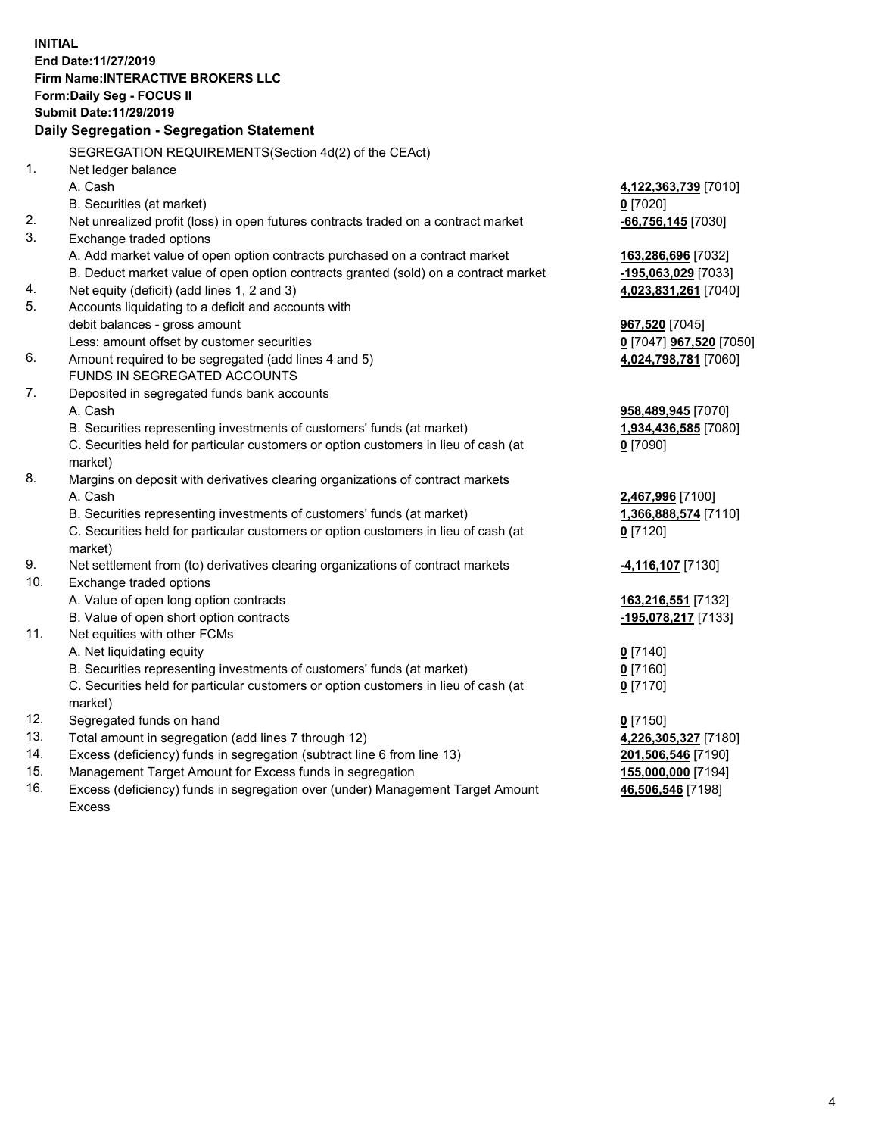|     | <b>INITIAL</b>                                                                                 |                                       |
|-----|------------------------------------------------------------------------------------------------|---------------------------------------|
|     | End Date: 11/27/2019                                                                           |                                       |
|     | Firm Name: INTERACTIVE BROKERS LLC                                                             |                                       |
|     | Form: Daily Seg - FOCUS II                                                                     |                                       |
|     | <b>Submit Date: 11/29/2019</b>                                                                 |                                       |
|     | Daily Segregation - Segregation Statement                                                      |                                       |
|     | SEGREGATION REQUIREMENTS(Section 4d(2) of the CEAct)                                           |                                       |
| 1.  | Net ledger balance                                                                             |                                       |
|     | A. Cash                                                                                        | 4,122,363,739 [7010]                  |
|     | B. Securities (at market)                                                                      | $0$ [7020]                            |
| 2.  | Net unrealized profit (loss) in open futures contracts traded on a contract market             | $-66,756,145$ [7030]                  |
| 3.  | Exchange traded options                                                                        |                                       |
|     | A. Add market value of open option contracts purchased on a contract market                    | 163,286,696 [7032]                    |
|     | B. Deduct market value of open option contracts granted (sold) on a contract market            | -195,063,029 [7033]                   |
| 4.  | Net equity (deficit) (add lines 1, 2 and 3)                                                    | 4,023,831,261 [7040]                  |
| 5.  | Accounts liquidating to a deficit and accounts with                                            |                                       |
|     | debit balances - gross amount                                                                  | 967,520 [7045]                        |
|     | Less: amount offset by customer securities                                                     | <u>0</u> [7047] <b>967,520</b> [7050] |
| 6.  | Amount required to be segregated (add lines 4 and 5)                                           | 4,024,798,781 [7060]                  |
|     | FUNDS IN SEGREGATED ACCOUNTS                                                                   |                                       |
| 7.  | Deposited in segregated funds bank accounts                                                    |                                       |
|     | A. Cash                                                                                        | 958,489,945 [7070]                    |
|     | B. Securities representing investments of customers' funds (at market)                         | 1,934,436,585 [7080]                  |
|     | C. Securities held for particular customers or option customers in lieu of cash (at            | $0$ [7090]                            |
|     | market)                                                                                        |                                       |
| 8.  | Margins on deposit with derivatives clearing organizations of contract markets                 |                                       |
|     | A. Cash                                                                                        | 2,467,996 [7100]                      |
|     | B. Securities representing investments of customers' funds (at market)                         | 1,366,888,574 [7110]                  |
|     | C. Securities held for particular customers or option customers in lieu of cash (at<br>market) | $0$ [7120]                            |
| 9.  | Net settlement from (to) derivatives clearing organizations of contract markets                | 4,116,107 [7130]                      |
| 10. | Exchange traded options                                                                        |                                       |
|     | A. Value of open long option contracts                                                         | 163,216,551 [7132]                    |
|     | B. Value of open short option contracts                                                        | -195,078,217 [7133]                   |
| 11. | Net equities with other FCMs                                                                   |                                       |
|     | A. Net liquidating equity                                                                      | $0$ [7140]                            |
|     | B. Securities representing investments of customers' funds (at market)                         | 0 [7160]                              |
|     | C. Securities held for particular customers or option customers in lieu of cash (at            | 0 <sup>[7170]</sup>                   |
|     | market)                                                                                        |                                       |
| 12. | Segregated funds on hand                                                                       | $0$ [7150]                            |
| 13. | Total amount in segregation (add lines 7 through 12)                                           | 4,226,305,327 [7180]                  |
| 14. | Excess (deficiency) funds in segregation (subtract line 6 from line 13)                        | 201,506,546 [7190]                    |
| 15. | Management Target Amount for Excess funds in segregation                                       | 155,000,000 [7194]                    |
| 16. | Excess (deficiency) funds in segregation over (under) Management Target Amount                 | 46,506,546 [7198]                     |

16. Excess (deficiency) funds in segregation over (under) Management Target Amount Excess